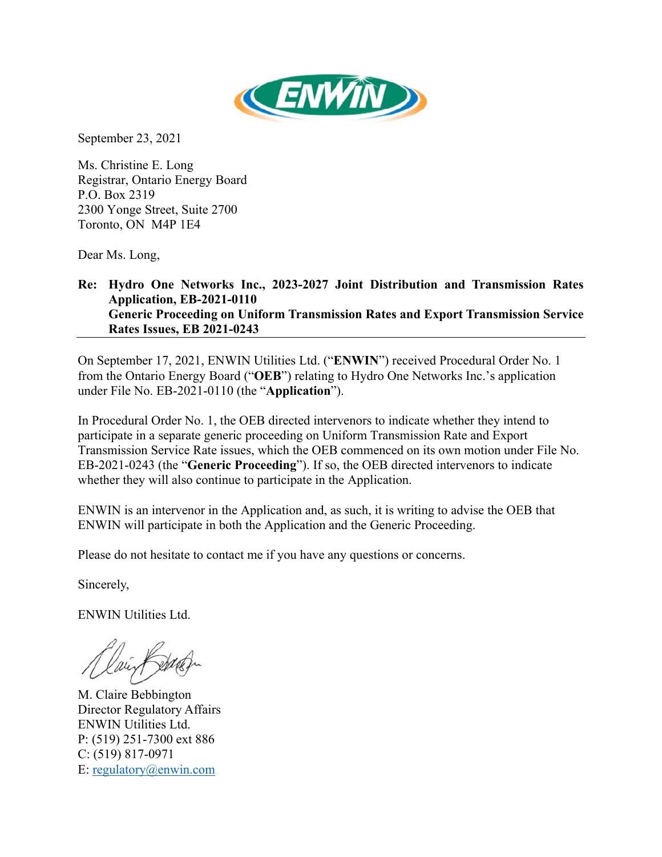

September 23, 2021

Ms. Christine E. Long Registrar, Ontario Energy Board P.O. Box 2319 2300 Yonge Street, Suite 2700 Toronto, ON M4P 1E4

Dear Ms. Long,

## **Re: Hydro One Networks Inc., 2023-2027 Joint Distribution and Transmission Rates Application, EB-2021-0110 Generic Proceeding on Uniform Transmission Rates and Export Transmission Service Rates Issues, EB 2021-0243**

On September 17, 2021, ENWIN Utilities Ltd. ("**ENWIN**") received Procedural Order No. 1 from the Ontario Energy Board ("**OEB**") relating to Hydro One Networks Inc.'s application under File No. EB-2021-0110 (the "**Application**").

In Procedural Order No. 1, the OEB directed intervenors to indicate whether they intend to participate in a separate generic proceeding on Uniform Transmission Rate and Export Transmission Service Rate issues, which the OEB commenced on its own motion under File No. EB-2021-0243 (the "**Generic Proceeding**"). If so, the OEB directed intervenors to indicate whether they will also continue to participate in the Application.

ENWIN is an intervenor in the Application and, as such, it is writing to advise the OEB that ENWIN will participate in both the Application and the Generic Proceeding.

Please do not hesitate to contact me if you have any questions or concerns.

Sincerely,

ENWIN Utilities Ltd.

M. Claire Bebbington Director Regulatory Affairs ENWIN Utilities Ltd. P: (519) 251-7300 ext 886 C: (519) 817-0971 E: regulatory@enwin.com